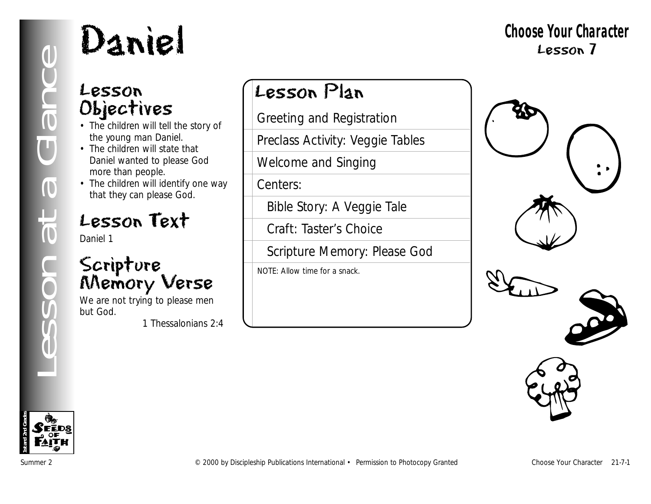### Lesson Objectives

- The children will tell the story of the young man Daniel.
- The children will state that Daniel wanted to please God more than people.
- The children will identify one way that they can please God.

## Lesson Text

Daniel 1

## Scripture Memory Verse

We are not trying to please men but God.

*1 Thessalonians 2:4*

## Lesson Plan

Greeting and Registration

Preclass Activity: Veggie Tables

Welcome and Singing

Centers:

Bible Story: A Veggie Tale

Craft: Taster's Choice

Scripture Memory: Please God

NOTE: Allow time for a snack.





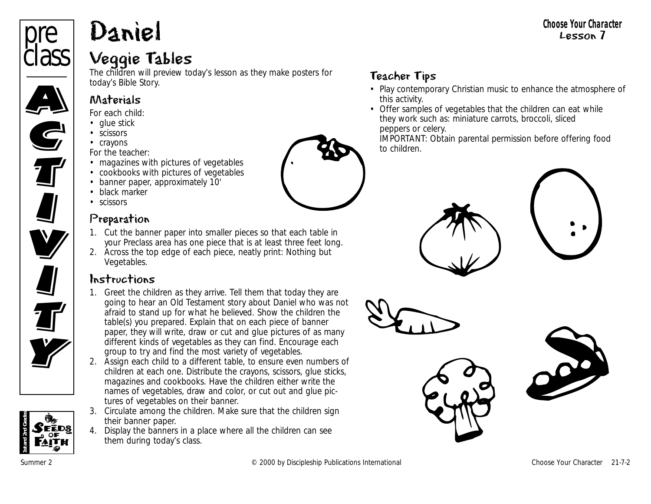# Daniel

#### Veggie Tables

The children will preview today's lesson as they make posters for today's Bible Story.

#### Materials

*For each child:* 

- glue stick
- scissors
- crayons

*For the teacher:*

- magazines with pictures of vegetables
- cookbooks with pictures of vegetables
- banner paper, approximately 10'
- black marker
- scissors

#### Preparation

- 1. Cut the banner paper into smaller pieces so that each table in your Preclass area has one piece that is at least three feet long.
- 2. Across the top edge of each piece, neatly print: Nothing but Vegetables.

#### Instructions

- 1. Greet the children as they arrive. Tell them that today they are going to hear an Old Testament story about Daniel who was not afraid to stand up for what he believed. Show the children the table(s) you prepared. Explain that on each piece of banner paper, they will write, draw or cut and glue pictures of as many different kinds of vegetables as they can find. Encourage each group to try and find the most variety of vegetables.
- 2. Assign each child to a different table, to ensure even numbers of children at each one. Distribute the crayons, scissors, glue sticks, magazines and cookbooks. Have the children either write the names of vegetables, draw and color, or cut out and glue pictures of vegetables on their banner.
- 3. Circulate among the children. Make sure that the children sign their banner paper.
- 4. Display the banners in a place where all the children can see them during today's class.

#### Teacher Tips

- Play contemporary Christian music to enhance the atmosphere of this activity.
- Offer samples of vegetables that the children can eat while they work such as: miniature carrots, broccoli, sliced peppers or celery.

IMPORTANT: Obtain parental permission before offering food to children.













pre

**class** 

Ciass

**C** 

**G**<br>T

**II**<br><u>II</u>

U<br>V

**V**<br>I

**All** 

**TV** 

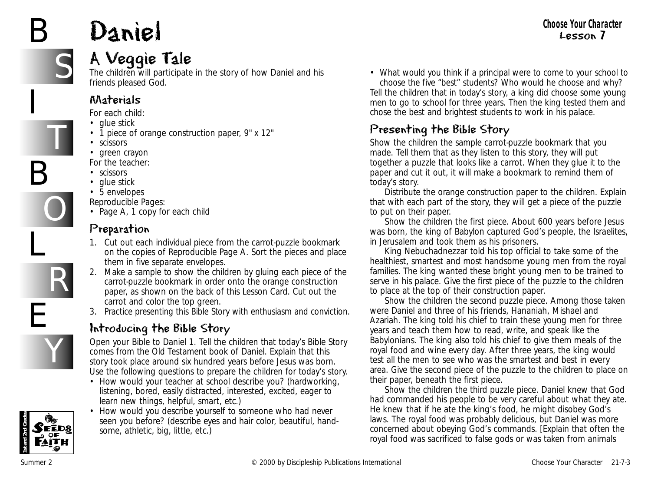# Daniel

# S

T

O

R

Y

B

I

B

L

E

### A Veggie Tale

The children will participate in the story of how Daniel and his friends pleased God.

#### Materials

*For each child:*

- glue stick
- 1 piece of orange construction paper, 9" x 12"
- scissors
- green crayon
- *For the teacher:*
- scissors
- glue stick
- 5 envelopes
- *Reproducible Pages:* • Page A, 1 copy for each child

#### Preparation

- 1. Cut out each individual piece from the carrot-puzzle bookmark on the copies of Reproducible Page A. Sort the pieces and place them in five separate envelopes.
- 2. Make a sample to show the children by gluing each piece of the carrot-puzzle bookmark in order onto the orange construction paper, as shown on the back of this Lesson Card. Cut out the carrot and color the top green.
- 3. Practice presenting this Bible Story with enthusiasm and conviction.

#### Introducing the Bible Story

Open your Bible to Daniel 1. Tell the children that today's Bible Story comes from the Old Testament book of Daniel. Explain that this story took place around six hundred years before Jesus was born. Use the following questions to prepare the children for today's story.

- *How would your teacher at school describe you?* (hardworking, listening, bored, easily distracted, interested, excited, eager to learn new things, helpful, smart, etc.)
- *How would you describe yourself to someone who had never seen you before?* (describe eyes and hair color, beautiful, handsome, athletic, big, little, etc.)

• *What would you think if a principal were to come to your school to choose the five "best" students? Who would he choose and why?* Tell the children that in today's story, a king did choose some young

men to go to school for three years. Then the king tested them and chose the best and brightest students to work in his palace.

#### Presenting the Bible Story

Show the children the sample carrot-puzzle bookmark that you made. Tell them that as they listen to this story, they will put together a puzzle that looks like a carrot. When they glue it to the paper and cut it out, it will make a bookmark to remind them of today's story.

Distribute the orange construction paper to the children. Explain that with each part of the story, they will get a piece of the puzzle to put on their paper.

Show the children the first piece. *About 600 years before Jesus was born, the king of Babylon captured God's people, the Israelites, in Jerusalem and took them as his prisoners.* 

*King Nebuchadnezzar told his top official to take some of the healthiest, smartest and most handsome young men from the royal families. The king wanted these bright young men to be trained to serve in his palace.* Give the first piece of the puzzle to the children to place at the top of their construction paper.

Show the children the second puzzle piece. *Among those taken were Daniel and three of his friends, Hananiah, Mishael and Azariah. The king told his chief to train these young men for three years and teach them how to read, write, and speak like the Babylonians. The king also told his chief to give them meals of the royal food and wine every day. After three years, the king would test all the men to see who was the smartest and best in every area.* Give the second piece of the puzzle to the children to place on their paper, beneath the first piece.

Show the children the third puzzle piece. *Daniel knew that God had commanded his people to be very careful about what they ate. He knew that if he ate the king's food, he might disobey God's laws. The royal food was probably delicious, but Daniel was more concerned about obeying God's commands.* [Explain that often the royal food was sacrificed to false gods or was taken from animals

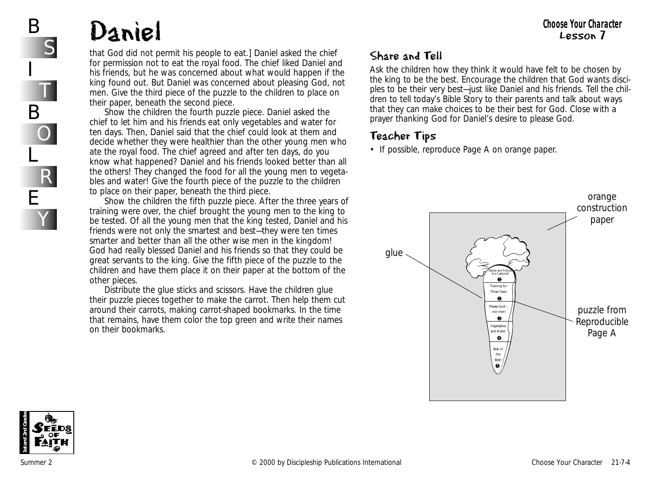# Daniel

that God did not permit his people to eat.] *Daniel asked the chief for permission not to eat the royal food. The chief liked Daniel and his friends, but he was concerned about what would happen if the king found out. But Daniel was concerned about pleasing God, not men.* Give the third piece of the puzzle to the children to place on their paper, beneath the second piece.

Show the children the fourth puzzle piece. *Daniel asked the chief to let him and his friends eat only vegetables and water for ten days. Then, Daniel said that the chief could look at them and decide whether they were healthier than the other young men who ate the royal food. The chief agreed and after ten days, do you know what happened? Daniel and his friends looked better than all the others! They changed the food for all the young men to vegetables and water!* Give the fourth piece of the puzzle to the children to place on their paper, beneath the third piece.

Show the children the fifth puzzle piece. *After the three years of training were over, the chief brought the young men to the king to be tested. Of all the young men that the king tested, Daniel and his friends were not only the smartest and best—they were ten times smarter and better than all the other wise men in the kingdom! God had really blessed Daniel and his friends so that they could be great servants to the king.* Give the fifth piece of the puzzle to the children and have them place it on their paper at the bottom of the other pieces.

Distribute the glue sticks and scissors. Have the children glue their puzzle pieces together to make the carrot. Then help them cut around their carrots, making carrot-shaped bookmarks. In the time that remains, have them color the top green and write their names on their bookmarks.

#### Share and Tell

Ask the children how they think it would have felt to be chosen by the king to be the best. Encourage the children that God wants disciples to be their very best—just like Daniel and his friends. Tell the children to tell today's Bible Story to their parents and talk about ways that they can make choices to be their best for God. Close with a prayer thanking God for Daniel's desire to please God.

#### Teacher Tips

• If possible, reproduce Page A on orange paper.





B

I

B

L

E

S

T

O

R

Y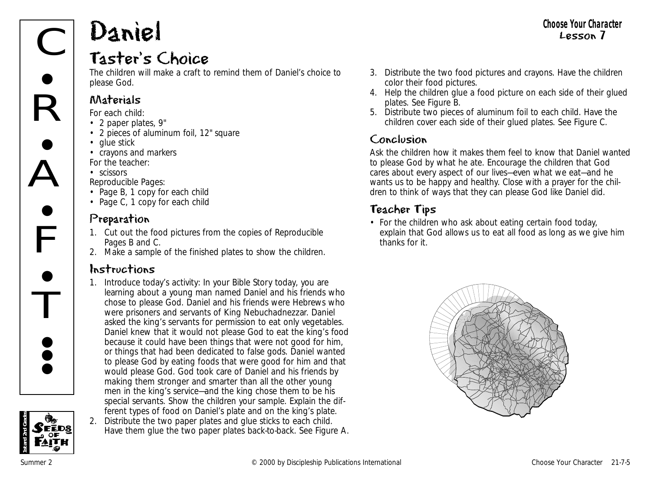# Daniel

 $\overline{\overline{\text{C}}}$ 

 $\mathsf{R}$ 

 $\bullet$ 

A

 $\bullet$ 

 $\mathsf{F}$ 

**•** 

<del>i</del><br>T

**• e •** 

 $\bullet$ 

#### Taster's Choice

The children will make a craft to remind them of Daniel's choice to please God.

#### Materials

*For each child:*

- 2 paper plates, 9"
- 2 pieces of aluminum foil, 12" square
- glue stick
- crayons and markers *For the teacher:*
- scissors

*Reproducible Pages:*

- Page B, 1 copy for each child
- Page C, 1 copy for each child

#### Preparation

- 1. Cut out the food pictures from the copies of Reproducible Pages B and C.
- 2. Make a sample of the finished plates to show the children.

#### Instructions

1. Introduce today's activity: *In your Bible Story today, you are learning about a young man named Daniel and his friends who chose to please God. Daniel and his friends were Hebrews who were prisoners and servants of King Nebuchadnezzar. Daniel asked the king's servants for permission to eat only vegetables. Daniel knew that it would not please God to eat the king's food because it could have been things that were not good for him, or things that had been dedicated to false gods. Daniel wanted to please God by eating foods that were good for him and that would please God. God took care of Daniel and his friends by making them stronger and smarter than all the other young men in the king's service—and the king chose them to be his special servants.* Show the children your sample. Explain the different types of food on Daniel's plate and on the king's plate. 2. Distribute the two paper plates and glue sticks to each child. Have them glue the two paper plates back-to-back. See Figure A.

- 3. Distribute the two food pictures and crayons. Have the children color their food pictures.
- 4. Help the children glue a food picture on each side of their glued plates. See Figure B.
- 5. Distribute two pieces of aluminum foil to each child. Have the children cover each side of their glued plates. See Figure C.

#### Conclusion

Ask the children how it makes them feel to know that Daniel wanted to please God by what he ate. Encourage the children that God cares about every aspect of our lives—even what we eat—and he wants us to be happy and healthy. Close with a prayer for the children to think of ways that they can please God like Daniel did.

#### Teacher Tips

• For the children who ask about eating certain food today, explain that God allows us to eat all food as long as we give him thanks for it.



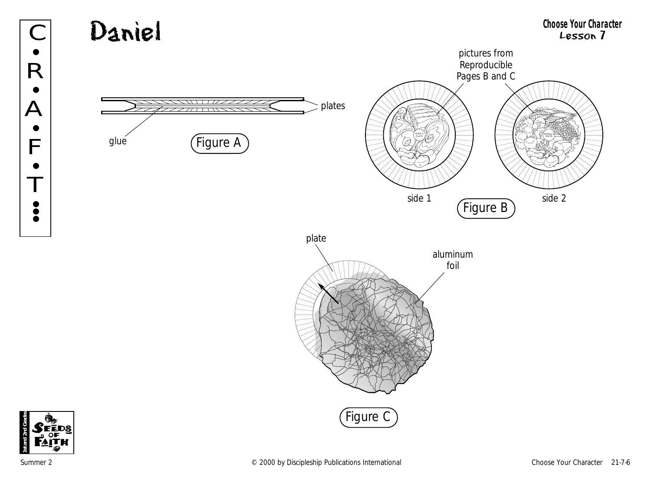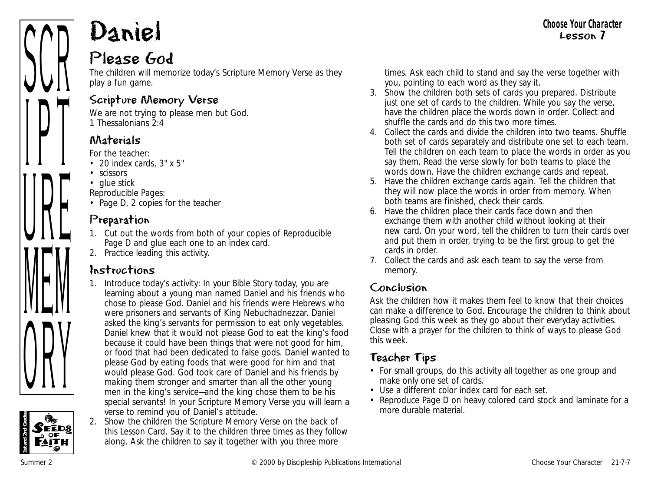# Daniel

#### Please God

The children will memorize today's Scripture Memory Verse as they play a fun game.

#### Scripture Memory Verse

We are not trying to please men but God. *1 Thessalonians 2:4*

#### Materials

*For the teacher:*

- 20 index cards, 3" x 5"
- scissors
- glue stick

*Reproducible Pages:*

• Page D, 2 copies for the teacher

#### Preparation

- 1. Cut out the words from both of your copies of Reproducible Page D and glue each one to an index card.
- 2. Practice leading this activity.

#### Instructions

- 1. Introduce today's activity*: In your Bible Story today, you are learning about a young man named Daniel and his friends who chose to please God. Daniel and his friends were Hebrews who were prisoners and servants of King Nebuchadnezzar. Daniel asked the king's servants for permission to eat only vegetables. Daniel knew that it would not please God to eat the king's food because it could have been things that were not good for him, or food that had been dedicated to false gods. Daniel wanted to please God by eating foods that were good for him and that would please God. God took care of Daniel and his friends by making them stronger and smarter than all the other young men in the king's service—and the king chose them to be his special servants! In your Scripture Memory Verse you will learn a verse to remind you of Daniel's attitude.*
- 2. Show the children the Scripture Memory Verse on the back of this Lesson Card. Say it to the children three times as they follow along. Ask the children to say it together with you three more

times. Ask each child to stand and say the verse together with you, pointing to each word as they say it.

- 3. Show the children both sets of cards you prepared. Distribute just one set of cards to the children. While you say the verse, have the children place the words down in order. Collect and shuffle the cards and do this two more times.
- 4. Collect the cards and divide the children into two teams. Shuffle both set of cards separately and distribute one set to each team. Tell the children on each team to place the words in order as you say them. Read the verse slowly for both teams to place the words down. Have the children exchange cards and repeat.
- 5. Have the children exchange cards again. Tell the children that they will now place the words in order from memory. When both teams are finished, check their cards.
- 6. Have the children place their cards face down and then exchange them with another child without looking at their new card. On your word, tell the children to turn their cards over and put them in order, trying to be the first group to get the cards in order.
- 7. Collect the cards and ask each team to say the verse from memory.

#### Conclusion

Ask the children how it makes them feel to know that their choices can make a difference to God. Encourage the children to think about pleasing God this week as they go about their everyday activities. Close with a prayer for the children to think of ways to please God this week.

#### Teacher Tips

- For small groups, do this activity all together as one group and make only one set of cards.
- Use a different color index card for each set.
- Reproduce Page D on heavy colored card stock and laminate for a more durable material.



ANII

 $\prod$ 

UIL

IVILJVI

VIII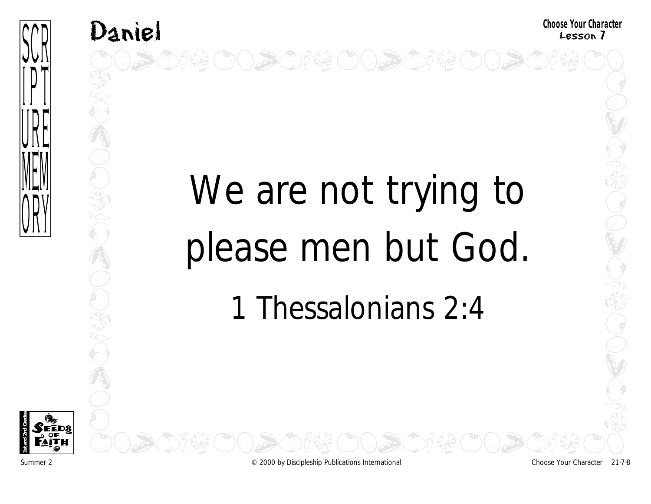

# Daniel<br>OODOOF&OODOOF&OODOOF&OODOOD

# We are not trying to please men but God. 1 Thessalonians 2:4



Summer 2 © 2000 by Discipleship Publications International Choose Your Character 21-7-8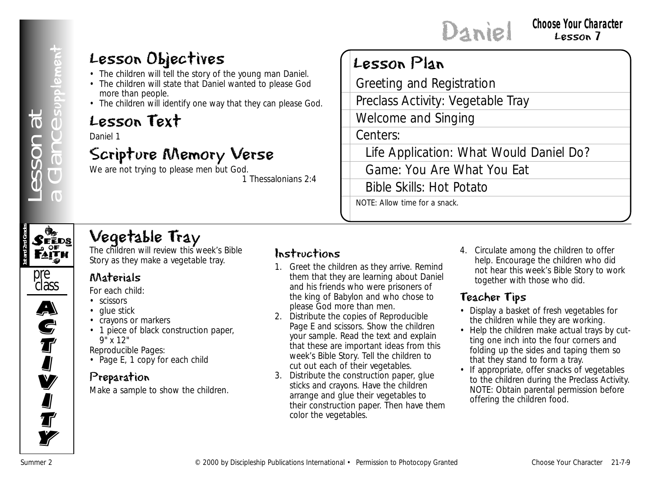#### Lesson Objectives

- The children will tell the story of the young man Daniel.
- The children will state that Daniel wanted to please God more than people.
- The children will identify one way that they can please God.

#### Lesson Text

Daniel 1

#### Scripture Memory Verse

We are not trying to please men but God.

*1 Thessalonians 2:4*

### Lesson Plan

**Example 2**<br>
Summer 2 Consequence Publications International Financial Financial Financial Financial Publications International Financial Financial Financial Financial Financial Financial Financial Financial Financial Fin Greeting and Registration Preclass Activity: Vegetable Tray Welcome and Singing

Centers:

Life Application: What Would Daniel Do?

Game: You Are What You Eat

Bible Skills: Hot Potato

NOTE: Allow time for a snack.



## Vegetable Tray

The children will review this week's Bible Story as they make a vegetable tray.



**S**<br>T

I<br>I

#### Materials

*For each child:*

- scissors
- glue stick
- crayons or markers
- 1 piece of black construction paper,  $9''$  x 12"

*Reproducible Pages:*

• Page E, 1 copy for each child

#### Preparation

Make a sample to show the children.

#### Instructions

- 1. Greet the children as they arrive. Remind them that they are learning about Daniel and his friends who were prisoners of the king of Babylon and who chose to please God more than men.
- 2. Distribute the copies of Reproducible Page E and scissors. Show the children your sample. Read the text and explain that these are important ideas from this week's Bible Story. Tell the children to cut out each of their vegetables.
- 3. Distribute the construction paper, glue sticks and crayons. Have the children arrange and glue their vegetables to their construction paper. Then have them color the vegetables.

4. Circulate among the children to offer help. Encourage the children who did not hear this week's Bible Story to work together with those who did.

#### Teacher Tips

- Display a basket of fresh vegetables for the children while they are working.
- Help the children make actual trays by cutting one inch into the four corners and folding up the sides and taping them so that they stand to form a tray.
- If appropriate, offer snacks of vegetables to the children during the Preclass Activity. NOTE: Obtain parental permission before offering the children food.

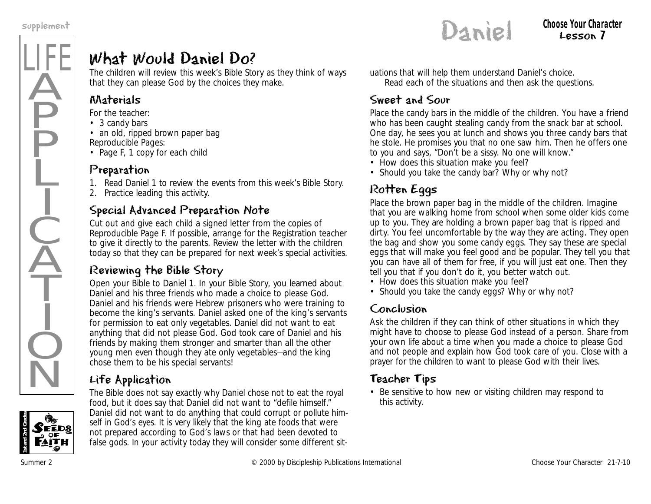

### What Would Daniel Do?

The children will review this week's Bible Story as they think of ways that they can please God by the choices they make.

#### Materials

*For the teacher:*

• 3 candy bars

• an old, ripped brown paper bag *Reproducible Pages:* 

• Page F, 1 copy for each child

#### Preparation

1. Read Daniel 1 to review the events from this week's Bible Story.

2. Practice leading this activity.

#### Special Advanced Preparation Note

Cut out and give each child a signed letter from the copies of Reproducible Page F. If possible, arrange for the Registration teacher to give it directly to the parents. Review the letter with the children today so that they can be prepared for next week's special activities.

#### Reviewing the Bible Story

Open your Bible to Daniel 1. *In your Bible Story, you learned about Daniel and his three friends who made a choice to please God. Daniel and his friends were Hebrew prisoners who were training to become the king's servants. Daniel asked one of the king's servants for permission to eat only vegetables. Daniel did not want to eat anything that did not please God. God took care of Daniel and his friends by making them stronger and smarter than all the other young men even though they ate only vegetables—and the king chose them to be his special servants!*

#### Life Application

*The Bible does not say exactly why Daniel chose not to eat the royal food, but it does say that Daniel did not want to "defile himself." Daniel did not want to do anything that could corrupt or pollute himself in God's eyes. It is very likely that the king ate foods that were not prepared according to God's laws or that had been devoted to false gods. In your activity today they will consider some different sit-* *uations that will help them understand Daniel's choice.*  Read each of the situations and then ask the questions.

#### Sweet and Sour

Place the candy bars in the middle of the children. *You have a friend who has been caught stealing candy from the snack bar at school. One day, he sees you at lunch and shows you three candy bars that he stole. He promises you that no one saw him. Then he offers one to you and says, "Don't be a sissy. No one will know."* 

- *How does this situation make you feel?*
- *Should you take the candy bar? Why or why not?*

#### Rotten Eggs

Place the brown paper bag in the middle of the children. *Imagine that you are walking home from school when some older kids come up to you. They are holding a brown paper bag that is ripped and dirty. You feel uncomfortable by the way they are acting. They open the bag and show you some candy eggs. They say these are special eggs that will make you feel good and be popular. They tell you that you can have all of them for free, if you will just eat one. Then they tell you that if you don't do it, you better watch out.* 

- *How does this situation make you feel?*
- *Should you take the candy eggs? Why or why not?*

#### Conclusion

Ask the children if they can think of other situations in which they might have to choose to please God instead of a person. Share from your own life about a time when you made a choice to please God and not people and explain how God took care of you. Close with a prayer for the children to want to please God with their lives.

#### Teacher Tips

• Be sensitive to how new or visiting children may respond to this activity.



Lesson 7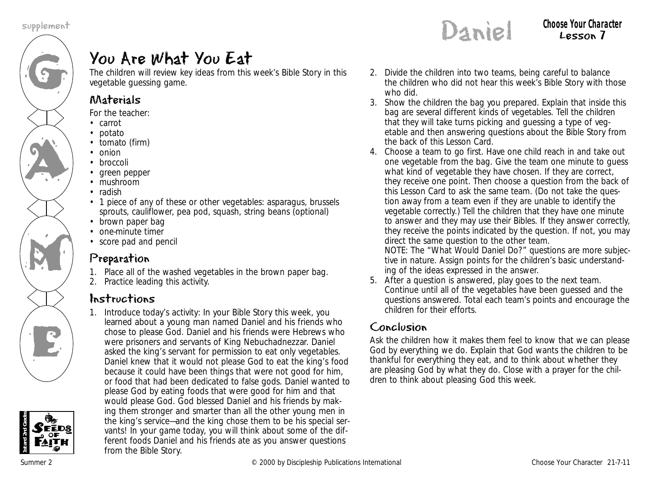



## You Are What You Eat

The children will review key ideas from this week's Bible Story in this vegetable guessing game.

#### Materials

*For the teacher:*

- carrot
- potato
- tomato (firm) • onion
- broccoli
- 
- green pepper
- mushroom
- radish
- 1 piece of any of these or other vegetables: asparagus, brussels sprouts, cauliflower, pea pod, squash, string beans (optional)
- brown paper bag
- one-minute timer
- score pad and pencil

#### Preparation

- 1. Place all of the washed vegetables in the brown paper bag.
- 2. Practice leading this activity.

#### Instructions

1. Introduce today's activity: *In your Bible Story this week, you learned about a young man named Daniel and his friends who chose to please God. Daniel and his friends were Hebrews who were prisoners and servants of King Nebuchadnezzar. Daniel asked the king's servant for permission to eat only vegetables. Daniel knew that it would not please God to eat the king's food because it could have been things that were not good for him, or food that had been dedicated to false gods. Daniel wanted to please God by eating foods that were good for him and that would please God. God blessed Daniel and his friends by making them stronger and smarter than all the other young men in the king's service—and the king chose them to be his special servants! In your game today, you will think about some of the different foods Daniel and his friends ate as you answer questions from the Bible Story.*

- 2. Divide the children into two teams, being careful to balance the children who did not hear this week's Bible Story with those who did.
- 3. Show the children the bag you prepared. Explain that inside this bag are several different kinds of vegetables. Tell the children that they will take turns picking and guessing a type of vegetable and then answering questions about the Bible Story from the back of this Lesson Card.
- 4. Choose a team to go first. Have one child reach in and take out one vegetable from the bag. Give the team one minute to guess what kind of vegetable they have chosen. If they are correct, they receive one point. Then choose a question from the back of this Lesson Card to ask the same team. (Do not take the question away from a team even if they are unable to identify the vegetable correctly.) Tell the children that they have one minute to answer and they may use their Bibles. If they answer correctly, they receive the points indicated by the question. If not, you may direct the same question to the other team. NOTE: The "What Would Daniel Do?" questions are more subjective in nature. Assign points for the children's basic understanding of the ideas expressed in the answer.
- 5. After a question is answered, play goes to the next team. Continue until all of the vegetables have been guessed and the questions answered. Total each team's points and encourage the children for their efforts.

#### Conclusion

Ask the children how it makes them feel to know that we can please God by everything we do. Explain that God wants the children to be thankful for everything they eat, and to think about whether they are pleasing God by what they do. Close with a prayer for the children to think about pleasing God this week.

Lesson 7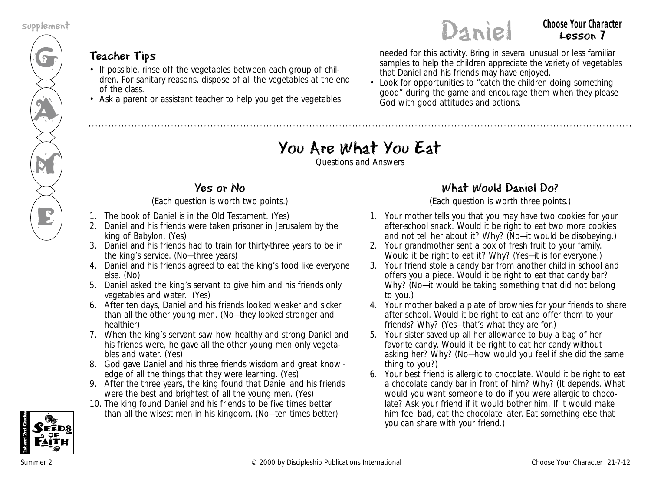

#### Teacher Tips

- If possible, rinse off the vegetables between each group of children. For sanitary reasons, dispose of all the vegetables at the end of the class.
- Ask a parent or assistant teacher to help you get the vegetables

**Choose Your Unaracter**<br>
Choose Your Unaracter<br>
Choose Your Character<br>
Choose Your Unaracter<br>
Choose Your Unaracter<br>
Choose Your Unaracter needed for this activity. Bring in several unusual or less familiar samples to help the children appreciate the variety of vegetables that Daniel and his friends may have enjoyed.

• Look for opportunities to "catch the children doing something good" during the game and encourage them when they please God with good attitudes and actions.

#### You Are What You Eat

Questions and Answers

#### Yes or No

#### (Each question is worth two points.)

- 1. The book of Daniel is in the Old Testament. (Yes)
- 2. Daniel and his friends were taken prisoner in Jerusalem by the king of Babylon. (Yes)
- 3. Daniel and his friends had to train for thirty-three years to be in the king's service. (No—three years)
- 4. Daniel and his friends agreed to eat the king's food like everyone else. (No)
- 5. Daniel asked the king's servant to give him and his friends only vegetables and water. (Yes)
- 6. After ten days, Daniel and his friends looked weaker and sicker than all the other young men. (No—they looked stronger and healthier)
- 7. When the king's servant saw how healthy and strong Daniel and his friends were, he gave all the other young men only vegetables and water. (Yes)
- 8. God gave Daniel and his three friends wisdom and great knowledge of all the things that they were learning. (Yes)
- 9. After the three years, the king found that Daniel and his friends were the best and brightest of all the young men. (Yes)
- 10. The king found Daniel and his friends to be five times better than all the wisest men in his kingdom. (No—ten times better)

#### What Would Daniel Do?

(Each question is worth three points.)

- 1. Your mother tells you that you may have two cookies for your after-school snack. Would it be right to eat two more cookies and not tell her about it? Why? (No-it would be disobeying.)
- 2. Your grandmother sent a box of fresh fruit to your family. Would it be right to eat it? Why? (Yes—it is for everyone.)
- 3. Your friend stole a candy bar from another child in school and offers you a piece. Would it be right to eat that candy bar? Why? (No—it would be taking something that did not belong to you.)
- 4. Your mother baked a plate of brownies for your friends to share after school. Would it be right to eat and offer them to your friends? Why? (Yes—that's what they are for.)
- 5. Your sister saved up all her allowance to buy a bag of her favorite candy. Would it be right to eat her candy without asking her? Why? (No—how would you feel if she did the same thing to you?)
- 6. Your best friend is allergic to chocolate. Would it be right to eat a chocolate candy bar in front of him? Why? (It depends. What would you want someone to do if you were allergic to chocolate? Ask your friend if it would bother him. If it would make him feel bad, eat the chocolate later. Eat something else that you can share with your friend.)



Lesson 7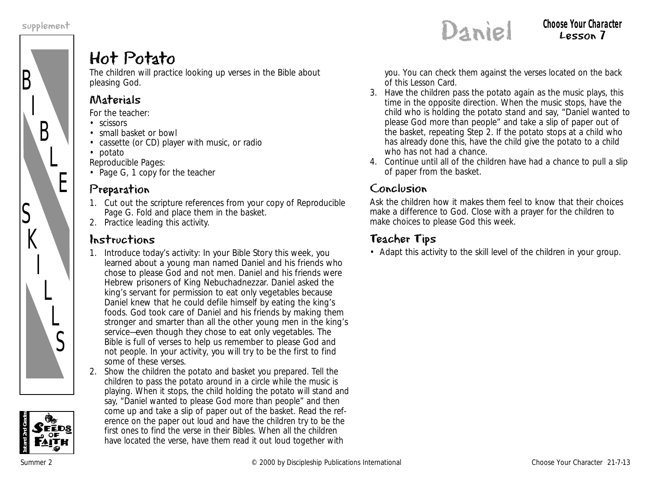

#### Hot Potato

The children will practice looking up verses in the Bible about pleasing God.

#### Materials

*For the teacher:*

- scissors
- small basket or bowl
- cassette (or CD) player with music, or radio
- potato

*Reproducible Pages:*

• Page G, 1 copy for the teacher

#### Preparation

- 1. Cut out the scripture references from your copy of Reproducible Page G. Fold and place them in the basket.
- 2. Practice leading this activity.

#### Instructions

- 1. Introduce today's activity: *In your Bible Story this week, you learned about a young man named Daniel and his friends who chose to please God and not men. Daniel and his friends were Hebrew prisoners of King Nebuchadnezzar. Daniel asked the king's servant for permission to eat only vegetables because Daniel knew that he could defile himself by eating the king's foods. God took care of Daniel and his friends by making them stronger and smarter than all the other young men in the king's service—even though they chose to eat only vegetables. The Bible is full of verses to help us remember to please God and not people. In your activity, you will try to be the first to find some of these verses.*
- 2. Show the children the potato and basket you prepared. Tell the children to pass the potato around in a circle while the music is playing. When it stops, the child holding the potato will stand and say, "Daniel wanted to please God more than people" and then come up and take a slip of paper out of the basket. Read the reference on the paper out loud and have the children try to be the first ones to find the verse in their Bibles. When all the children have located the verse, have them read it out loud together with

**Complement** Choose Your Character<br>
Choose Your Character<br>
Choose Your Character Lesson 7

> you. You can check them against the verses located on the back of this Lesson Card.

- 3. Have the children pass the potato again as the music plays, this time in the opposite direction. When the music stops, have the child who is holding the potato stand and say, "Daniel wanted to please God more than people" and take a slip of paper out of the basket, repeating Step 2. If the potato stops at a child who has already done this, have the child give the potato to a child who has not had a chance.
- 4. Continue until all of the children have had a chance to pull a slip of paper from the basket.

#### Conclusion

Ask the children how it makes them feel to know that their choices make a difference to God. Close with a prayer for the children to make choices to please God this week.

#### Teacher Tips

• Adapt this activity to the skill level of the children in your group.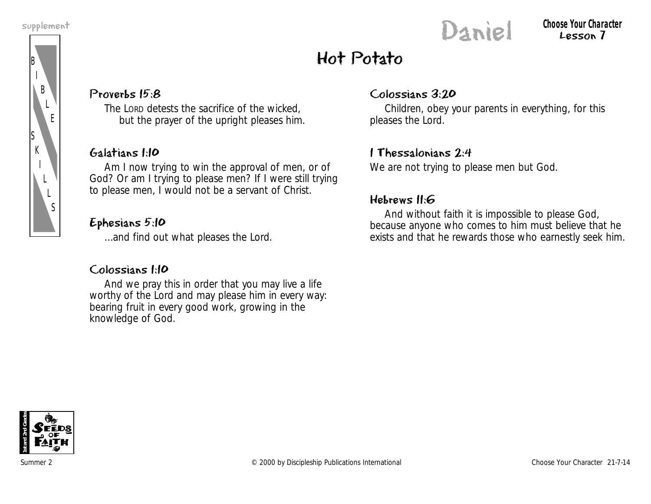

#### **Complement** Choose Your Character<br>
Choose Your Character<br>
Choose Your Character<br>
Choose Your Character<br>
Choose Your Character Lesson 7

## Hot Potato

#### Proverbs 15:8

The LORD detests the sacrifice of the wicked, but the prayer of the upright pleases him.

#### Galatians 1:10

Am I now trying to win the approval of men, or of God? Or am I trying to please men? If I were still trying to please men, I would not be a servant of Christ.

#### Ephesians 5:10

…and find out what pleases the Lord.

#### Colossians 1:10

And we pray this in order that you may live a life worthy of the Lord and may please him in every way: bearing fruit in every good work, growing in the knowledge of God.

#### Colossians 3:20

Children, obey your parents in everything, for this pleases the Lord.

#### 1 Thessalonians 2:4

We are not trying to please men but God.

#### Hebrews 11:6

And without faith it is impossible to please God, because anyone who comes to him must believe that he exists and that he rewards those who earnestly seek him.

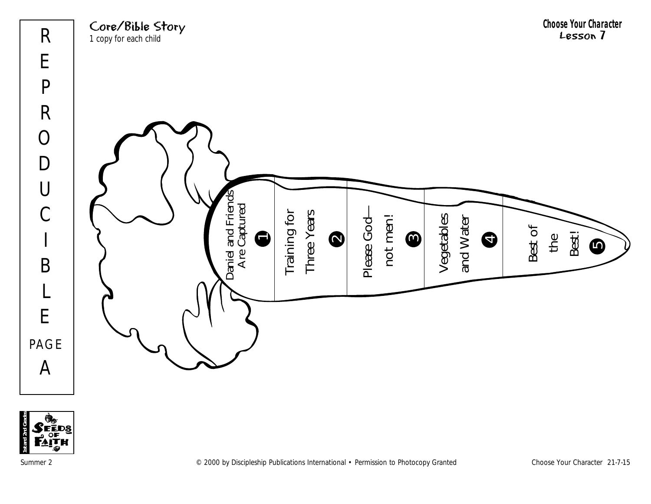



Summer 2 © 2000 by Discipleship Publications International • Permission to Photocopy Granted Choose Your Character 21-7-15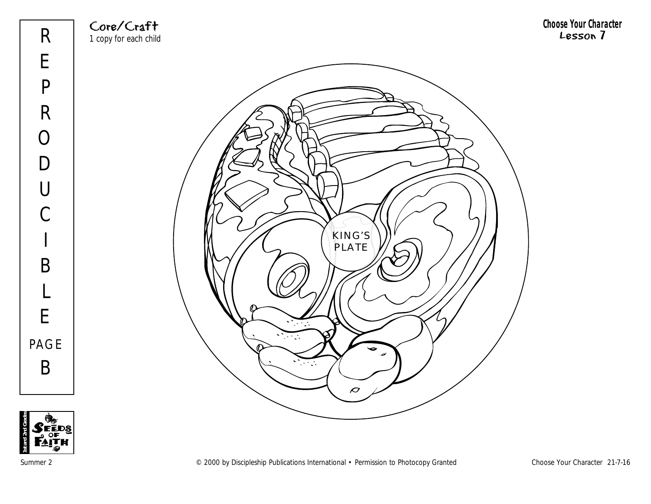Core/Craft 1 copy for each child **Choose Your Character** Lesson 7





Summer 2 Choose Your Character 21-7-16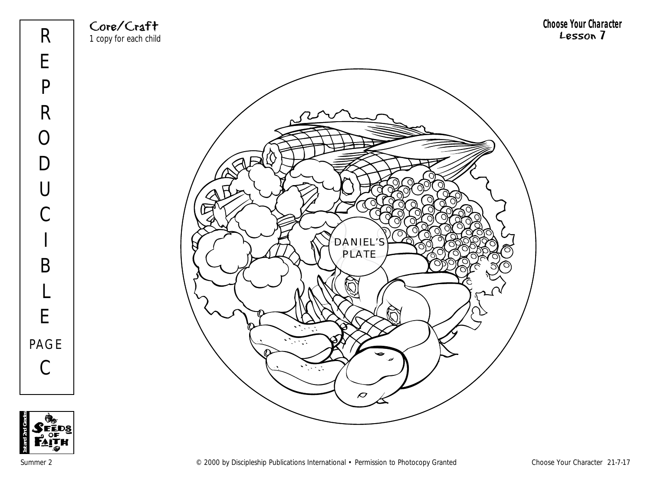Core/Craft 1 copy for each child **Choose Your Character** Lesson 7





Summer 2 Choose Your Character 21-7-17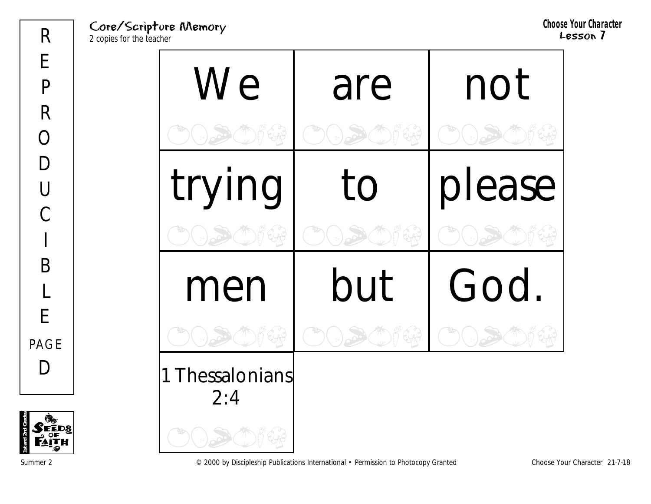Core/Scripture Memory 2 copies for the teacher

**Choose Your Character** Lesson 7

| We                   | are | not    |
|----------------------|-----|--------|
|                      |     |        |
| trying               | to  | please |
|                      |     |        |
| men                  | but | God.   |
|                      |     |        |
| Thessalonians<br>2:4 |     |        |
|                      |     |        |

Summer 2 Choose Your Character 21-7-18

**1st and 2nd Grades**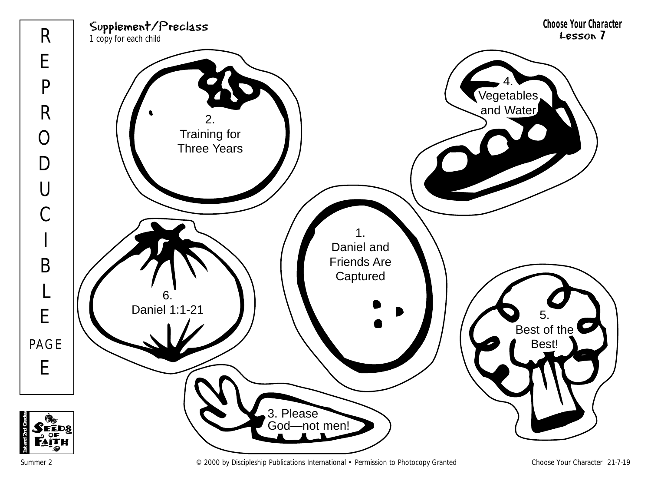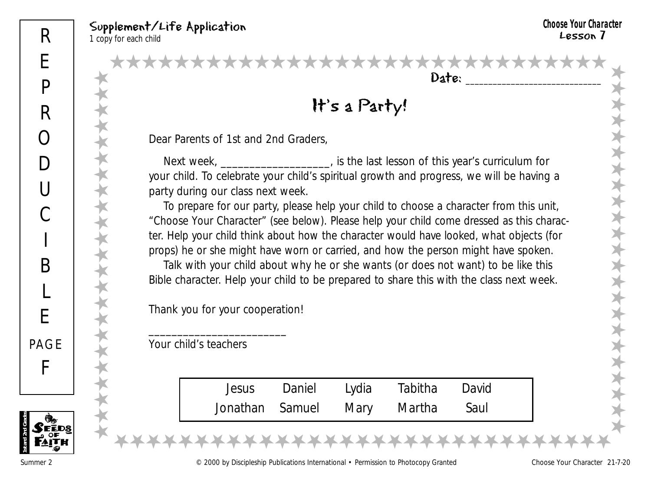★★★★★★★★★★★★★★★★★★★★★★★

★★★★★★★★★★★★★★★★★★★★★★★

 $Date:$ ★★★★★★★★★★★★★★★★★★★★★★★★★★★★★★★

#### It's a Party!

Dear Parents of 1st and 2nd Graders,

Next week, \_\_\_\_\_\_\_\_\_\_\_\_\_\_\_\_\_\_\_\_, is the last lesson of this year's curriculum for your child. To celebrate your child's spiritual growth and progress, we will be having a party during our class next week.

To prepare for our party, please help your child to choose a character from this unit, "Choose Your Character" (see below). Please help your child come dressed as this character. Help your child think about how the character would have looked, what objects (for props) he or she might have worn or carried, and how the person might have spoken.

Talk with your child about why he or she wants (or does not want) to be like this Bible character. Help your child to be prepared to share this with the class next week.

Thank you for your cooperation!

\_\_\_\_\_\_\_\_\_\_\_\_\_\_\_\_\_\_\_\_\_\_\_\_

Your child's teachers

| Jesus | Daniel | Lydia | Tabitha                     | David  |  |
|-------|--------|-------|-----------------------------|--------|--|
|       |        |       | Jonathan Samuel Mary Martha | - Saul |  |

★★★★★★★★★★★★★★★★★★★★★★★★★★★★★★★

**1st and 2nd Grades**